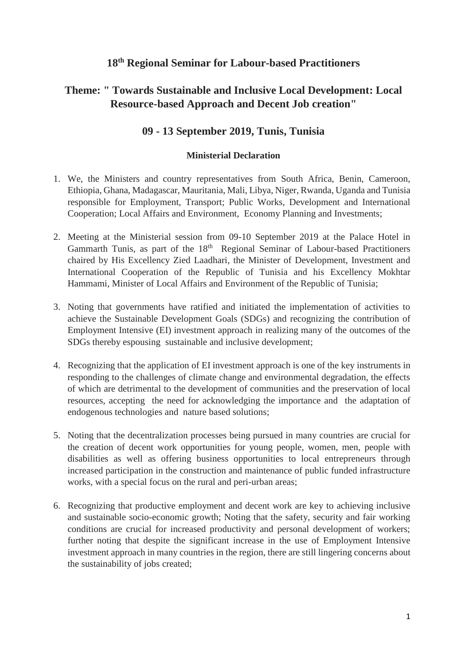## **18th Regional Seminar for Labour-based Practitioners**

# **Theme: " Towards Sustainable and Inclusive Local Development: Local Resource-based Approach and Decent Job creation"**

## **09 - 13 September 2019, Tunis, Tunisia**

#### **Ministerial Declaration**

- 1. We, the Ministers and country representatives from South Africa, Benin, Cameroon, Ethiopia, Ghana, Madagascar, Mauritania, Mali, Libya, Niger, Rwanda, Uganda and Tunisia responsible for Employment, Transport; Public Works, Development and International Cooperation; Local Affairs and Environment, Economy Planning and Investments;
- 2. Meeting at the Ministerial session from 09-10 September 2019 at the Palace Hotel in Gammarth Tunis, as part of the 18<sup>th</sup> Regional Seminar of Labour-based Practitioners chaired by His Excellency Zied Laadhari, the Minister of Development, Investment and International Cooperation of the Republic of Tunisia and his Excellency Mokhtar Hammami, Minister of Local Affairs and Environment of the Republic of Tunisia;
- 3. Noting that governments have ratified and initiated the implementation of activities to achieve the Sustainable Development Goals (SDGs) and recognizing the contribution of Employment Intensive (EI) investment approach in realizing many of the outcomes of the SDGs thereby espousing sustainable and inclusive development;
- 4. Recognizing that the application of EI investment approach is one of the key instruments in responding to the challenges of climate change and environmental degradation, the effects of which are detrimental to the development of communities and the preservation of local resources, accepting the need for acknowledging the importance and the adaptation of endogenous technologies and nature based solutions;
- 5. Noting that the decentralization processes being pursued in many countries are crucial for the creation of decent work opportunities for young people, women, men, people with disabilities as well as offering business opportunities to local entrepreneurs through increased participation in the construction and maintenance of public funded infrastructure works, with a special focus on the rural and peri-urban areas;
- 6. Recognizing that productive employment and decent work are key to achieving inclusive and sustainable socio-economic growth; Noting that the safety, security and fair working conditions are crucial for increased productivity and personal development of workers; further noting that despite the significant increase in the use of Employment Intensive investment approach in many countries in the region, there are still lingering concerns about the sustainability of jobs created;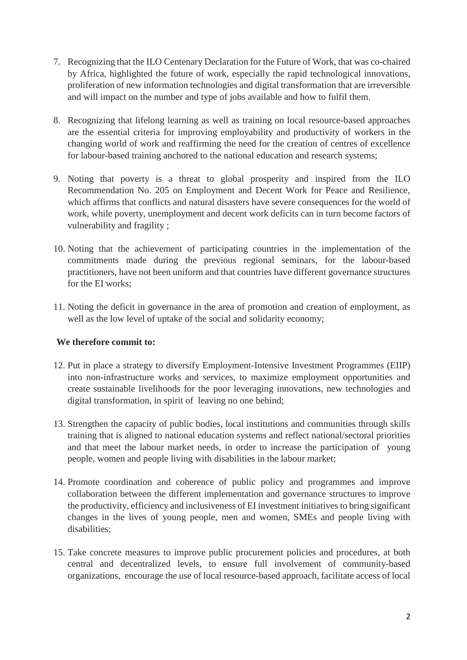- 7. Recognizing that the ILO Centenary Declaration for the Future of Work, that was co-chaired by Africa, highlighted the future of work, especially the rapid technological innovations, proliferation of new information technologies and digital transformation that are irreversible and will impact on the number and type of jobs available and how to fulfil them.
- 8. Recognizing that lifelong learning as well as training on local resource-based approaches are the essential criteria for improving employability and productivity of workers in the changing world of work and reaffirming the need for the creation of centres of excellence for labour-based training anchored to the national education and research systems;
- 9. Noting that poverty is a threat to global prosperity and inspired from the ILO Recommendation No. 205 on Employment and Decent Work for Peace and Resilience, which affirms that conflicts and natural disasters have severe consequences for the world of work, while poverty, unemployment and decent work deficits can in turn become factors of vulnerability and fragility ;
- 10. Noting that the achievement of participating countries in the implementation of the commitments made during the previous regional seminars, for the labour-based practitioners, have not been uniform and that countries have different governance structures for the EI works;
- 11. Noting the deficit in governance in the area of promotion and creation of employment, as well as the low level of uptake of the social and solidarity economy;

### **We therefore commit to:**

- 12. Put in place a strategy to diversify Employment-Intensive Investment Programmes (EIIP) into non-infrastructure works and services, to maximize employment opportunities and create sustainable livelihoods for the poor leveraging innovations, new technologies and digital transformation, in spirit of leaving no one behind;
- 13. Strengthen the capacity of public bodies, local institutions and communities through skills training that is aligned to national education systems and reflect national/sectoral priorities and that meet the labour market needs, in order to increase the participation of young people, women and people living with disabilities in the labour market;
- 14. Promote coordination and coherence of public policy and programmes and improve collaboration between the different implementation and governance structures to improve the productivity, efficiency and inclusiveness of EI investment initiatives to bring significant changes in the lives of young people, men and women, SMEs and people living with disabilities;
- 15. Take concrete measures to improve public procurement policies and procedures, at both central and decentralized levels, to ensure full involvement of community-based organizations, encourage the use of local resource-based approach, facilitate access of local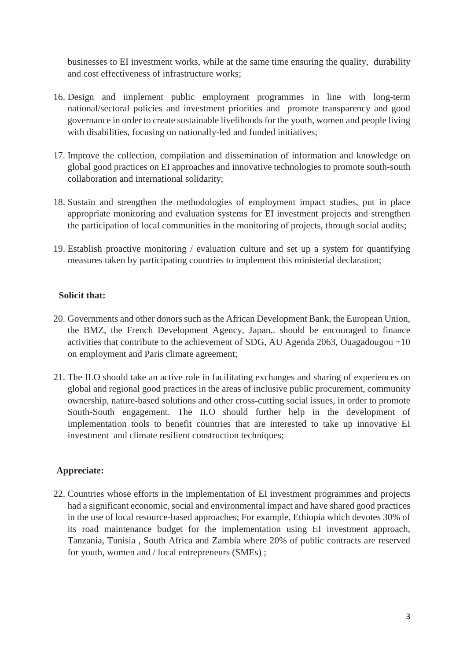businesses to EI investment works, while at the same time ensuring the quality, durability and cost effectiveness of infrastructure works;

- 16. Design and implement public employment programmes in line with long-term national/sectoral policies and investment priorities and promote transparency and good governance in order to create sustainable livelihoods for the youth, women and people living with disabilities, focusing on nationally-led and funded initiatives;
- 17. Improve the collection, compilation and dissemination of information and knowledge on global good practices on EI approaches and innovative technologies to promote south-south collaboration and international solidarity;
- 18. Sustain and strengthen the methodologies of employment impact studies, put in place appropriate monitoring and evaluation systems for EI investment projects and strengthen the participation of local communities in the monitoring of projects, through social audits;
- 19. Establish proactive monitoring / evaluation culture and set up a system for quantifying measures taken by participating countries to implement this ministerial declaration;

### **Solicit that:**

- 20. Governments and other donors such as the African Development Bank, the European Union, the BMZ, the French Development Agency, Japan.. should be encouraged to finance activities that contribute to the achievement of SDG, AU Agenda 2063, Ouagadougou +10 on employment and Paris climate agreement;
- 21. The ILO should take an active role in facilitating exchanges and sharing of experiences on global and regional good practices in the areas of inclusive public procurement, community ownership, nature-based solutions and other cross-cutting social issues, in order to promote South-South engagement. The ILO should further help in the development of implementation tools to benefit countries that are interested to take up innovative EI investment and climate resilient construction techniques;

### **Appreciate:**

22. Countries whose efforts in the implementation of EI investment programmes and projects had a significant economic, social and environmental impact and have shared good practices in the use of local resource-based approaches; For example, Ethiopia which devotes 30% of its road maintenance budget for the implementation using EI investment approach, Tanzania, Tunisia , South Africa and Zambia where 20% of public contracts are reserved for youth, women and / local entrepreneurs (SMEs) ;